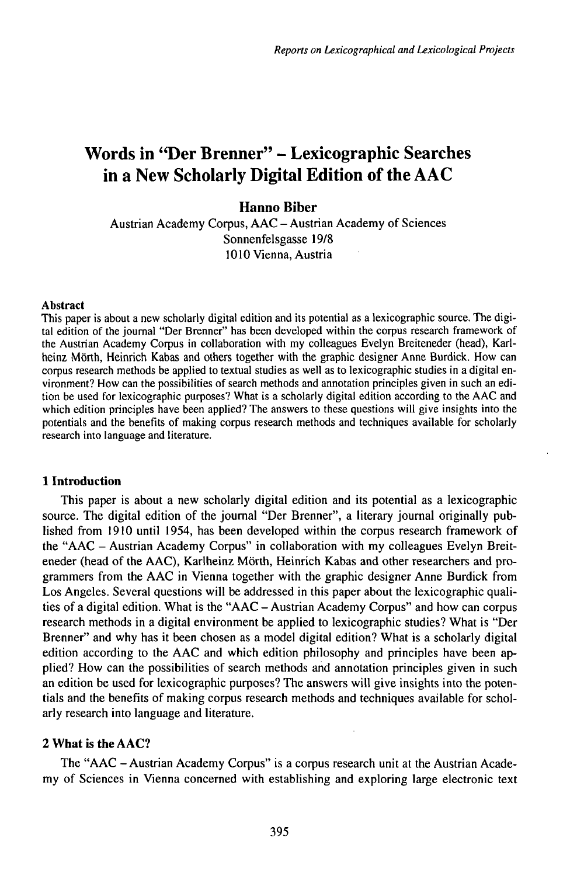# Words in "Der Brenner" - Lexicographic Searches in a New Scholarly Digital Edition of the AAC

## **Hanno Biber**

Austrian Academy Corpus, AAC - Austrian Academy of Sciences Sonnenfelsgasse 19/8 1010 Vienna, Austria

#### **Abstract**

This paper is about a new scholarly digital edition and its potential as a lexicographic source. The digital edition of the journal "Der Brenner" has been developed within the corpus research framework of the Austrian Academy Corpus in collaboration with my colleagues Evelyn Breiteneder (head), Karlheinz Mörth, Heinrich Kabas and others together with the graphic designer Anne Burdick. How can corpus research methods be applied to textual studies as well as to lexicographic studies in a digital environment? How can the possibilities of search methods and annotation principles given in such an edition be used for lexicographic purposes? What is a scholarly digital edition according to the AAC and which edition principles have been applied? The answers to these questions will give insights into the potentials and the benefits of making corpus research methods and techniques available for scholarly research into language and literature.

### **1 Introduction**

This paper is about a new scholarly digital edition and its potential as a lexicographic source. The digital edition of the journal "Der Brenner", a literary journal originally published from 1910 until 1954, has been developed within the corpus research framework of the "AAC - Austrian Academy Corpus" in collaboration with my colleagues Evelyn Breiteneder (head of the AAC), Karlheinz Mörth, Heinrich Kabas and other researchers and programmers from the AAC in Vienna together with the graphic designer Anne Burdick from Los Angeles. Several questions will be addressed in this paper about the lexicographic qualities of <sup>a</sup> digital edition. What is the "AAC - Austrian Academy Corpus" and how can corpus research methods in a digital environment be applied to lexicographic studies? What is "Der Brenner" and why has it been chosen as a model digital edition? What is a scholarly digital edition according to the AAC and which edition philosophy and principles have been applied? How can the possibilities of search methods and annotation principles given in such an edition be used for lexicographic purposes? The answers will give insights into the potentials and the benefits of making corpus research methods and techniques available for scholarly research into language and literature.

# **2WhatistheAAC?**

The "AAC - Austrian Academy Corpus" is <sup>a</sup> corpus research unit at the Austrian Academy of Sciences in Vienna concerned with establishing and exploring large electronic text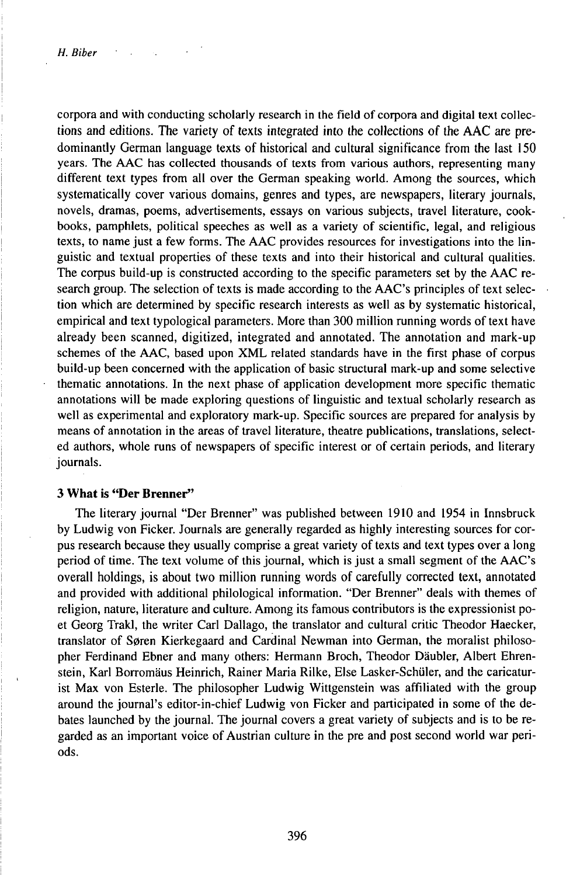corpora and with conducting scholarly research in the field of corpora and digital text collections and editions. The variety of texts integrated into the collections of the AAC are predominantly German language texts of historical and cultural significance from the last 150 years. The AAC has collected thousands of texts from various authors, representing many different text types from all over the German speaking world. Among the sources, which systematically cover various domains, genres and types, are newspapers, literary journals, novels, dramas, poems, advertisements, essays on various subjects, travel literature, cookbooks, pamphlets, political speeches as well as a variety of scientific, legal, and religious texts, to name just a few forms. The AAC provides resources for investigations into the linguistic and textual properties of these texts and into their historical and cultural qualities. The corpus build-up is constructed according to the specific parameters set by the AAC research group. The selection of texts is made according to the AAC's principles of text selection which are determined by specific research interests as well as by systematic historical, empirical and text typological parameters. More than 300 million running words oftext have already been scanned, digitized, integrated and annotated. The annotation and mark-up schemes of the AAC, based upon XML related standards have in the first phase of corpus build-up been concerned with the application of basic structural mark-up and some selective thematic annotations. In the next phase of application development more specific thematic annotations will be made exploring questions of linguistic and textual scholarly research as well as experimental and exploratory mark-up. Specific sources are prepared for analysis by means of annotation in the areas of travel literature, theatre publications, translations, selected authors, whole runs of newspapers of specific interest or of certain periods, and literary journals.

#### **3 What is "Der Brenner"**

The literary journal "Der Brenner" was published between 1910 and 1954 in Innsbruck by Ludwig von Ficker. Journals are generally regarded as highly interesting sources for corpus research because they usually comprise a great variety of texts and text types over a long period of time. The text volume of this journal, which is just a small segment of the AAC's overall holdings, is about two million running words of carefully corrected text, annotated and provided with additional philological information. "Der Brenner" deals with themes of religion, nature, literature and culture. Among its famous contributors is the expressionist poet Georg Trakl, the writer Carl Dallago, the translator and cultural critic Theodor Haecker, translator of Søren Kierkegaard and Cardinal Newman into German, the moralist philosopher Ferdinand Ebner and many others: Hermann Broch, Theodor Däubler, Albert Ehrenstein, Karl Borromäus Heinrich, Rainer Maria Rilke, Else Lasker-Schüler, and the caricaturist Max von Esterle. The philosopher Ludwig Wittgenstein was affiliated with the group around the journal's editor-in-chief Ludwig von Ficker and participated in some of the debates launched by the journal. The journal covers a great variety of subjects and is to be regarded as an important voice of Austrian culture in the pre and post second world war periods.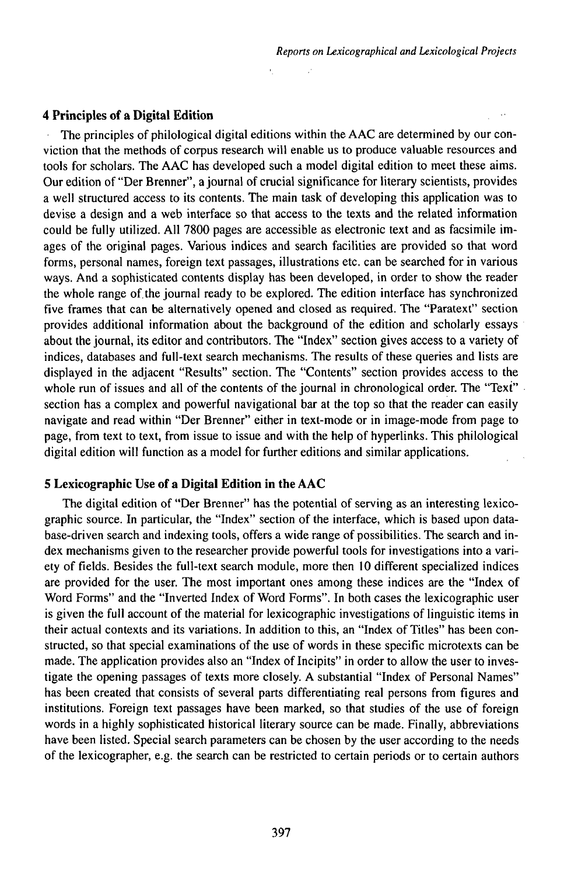**4 Principles of a Digital Edition**

The principles of philological digital editions within the AAC are determined by our conviction that the methods of corpus research will enable us to produce valuable resources and tools for scholars. The AAC has developed such a model digital edition to meet these aims. Our edition of "Der Brenner", ajournai of crucial significance for literary scientists, provides a well structured access to its contents. The main task of developing this application was to devise a design and a web interface so that access to the texts and the related information could be fully utilized. All 7800 pages are accessible as electronic text and as facsimile images of the original pages. Various indices and search facilities are provided so that word forms, personal names, foreign text passages, illustrations etc. can be searched for in various ways. And a sophisticated contents display has been developed, in order to show the reader the whole range of.the journal ready to be explored. The edition interface has synchronized five frames that can be alternatively opened and closed as required. The "Paratext" section provides additional information about the background of the edition and scholarly essays about the journal, its editor and contributors. The "Index" section gives access to a variety of indices, databases and full-text search mechanisms. The results of these queries and lists are displayed in the adjacent "Results" section. The "Contents" section provides access to the whole run of issues and all of the contents of the journal in chronological order. The "Text" section has a complex and powerful navigational bar at the top so that the reader can easily navigate and read within "Der Brenner" either in text-mode or in image-mode from page to page, from text to text, from issue to issue and with the help of hyperlinks. This philological digital edition will function as a model for further editions and similar applications.

# **5 Lexicographic Use of a Digital Edition in the AAC**

The digital edition of "Der Brenner" has the potential of serving as an interesting lexicographic source. In particular, the "Index" section of the interface, which is based upon database-driven search and indexing tools, offers a wide range of possibilities. The search and index mechanisms given to the researcher provide powerful tools for investigations into a variety of fields. Besides the full-text search module, more then 10 different specialized indices are provided for the user. The most important ones among these indices are the "Index of Word Forms" and the "Inverted Index of Word Forms". In both cases the lexicographic user is given the full account of the material for lexicographic investigations of linguistic items in their actual contexts and its variations. In addition to this, an "Index of Titles" has been constructed, so that special examinations of the use of words in these specific microtexts can be made. The application provides also an "Index of Incipits" in order to allow the user to investigate the opening passages of texts more closely. A substantial "Index of Personal Names" has been created that consists of several parts differentiating real persons from figures and institutions. Foreign text passages have been marked, so that studies of the use of foreign words in a highly sophisticated historical literary source can be made. Finally, abbreviations have been listed. Special search parameters can be chosen by the user according to the needs of the lexicographer, e.g. the search can be restricted to certain periods or to certain authors